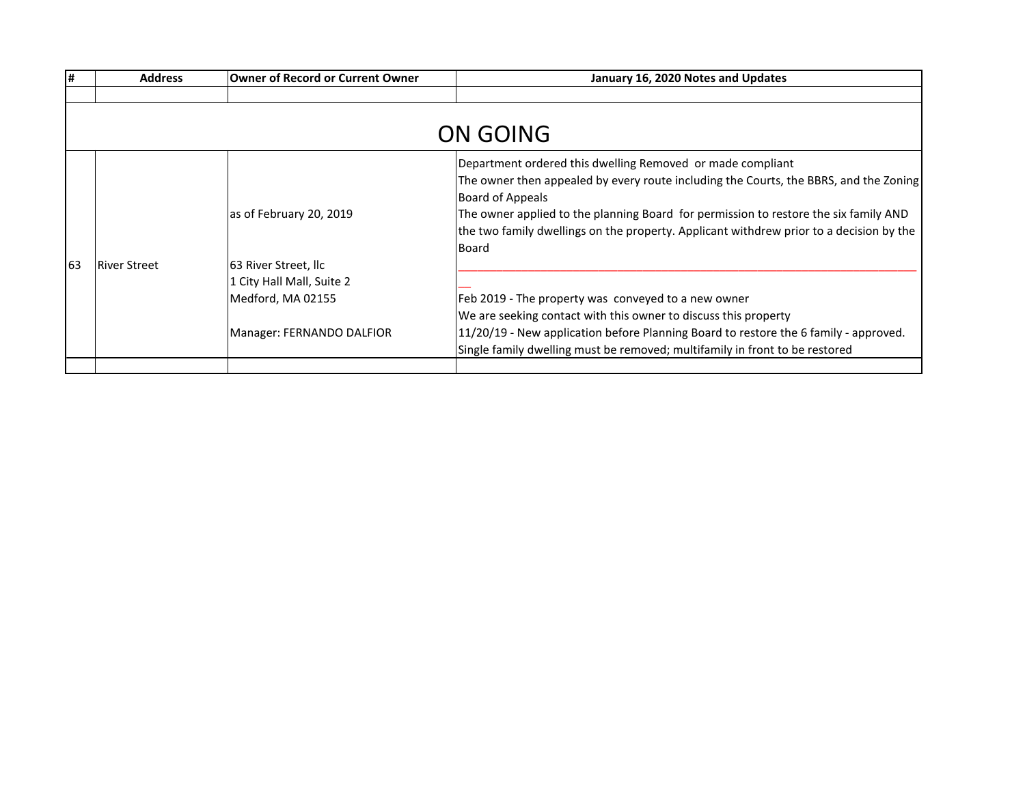| #  | <b>Address</b>      | <b>Owner of Record or Current Owner</b> | January 16, 2020 Notes and Updates                                                                        |
|----|---------------------|-----------------------------------------|-----------------------------------------------------------------------------------------------------------|
|    |                     |                                         |                                                                                                           |
|    |                     |                                         |                                                                                                           |
|    |                     |                                         | ON GOING                                                                                                  |
|    |                     |                                         | Department ordered this dwelling Removed or made compliant                                                |
|    |                     |                                         | The owner then appealed by every route including the Courts, the BBRS, and the Zoning<br>Board of Appeals |
|    |                     | as of February 20, 2019                 | The owner applied to the planning Board for permission to restore the six family AND                      |
|    |                     |                                         | the two family dwellings on the property. Applicant withdrew prior to a decision by the                   |
|    |                     |                                         | Board                                                                                                     |
| 63 | <b>River Street</b> | 63 River Street, llc                    |                                                                                                           |
|    |                     | 1 City Hall Mall, Suite 2               |                                                                                                           |
|    |                     | Medford, MA 02155                       | Feb 2019 - The property was conveyed to a new owner                                                       |
|    |                     |                                         | We are seeking contact with this owner to discuss this property                                           |
|    |                     | Manager: FERNANDO DALFIOR               | 11/20/19 - New application before Planning Board to restore the 6 family - approved.                      |
|    |                     |                                         | Single family dwelling must be removed; multifamily in front to be restored                               |
|    |                     |                                         |                                                                                                           |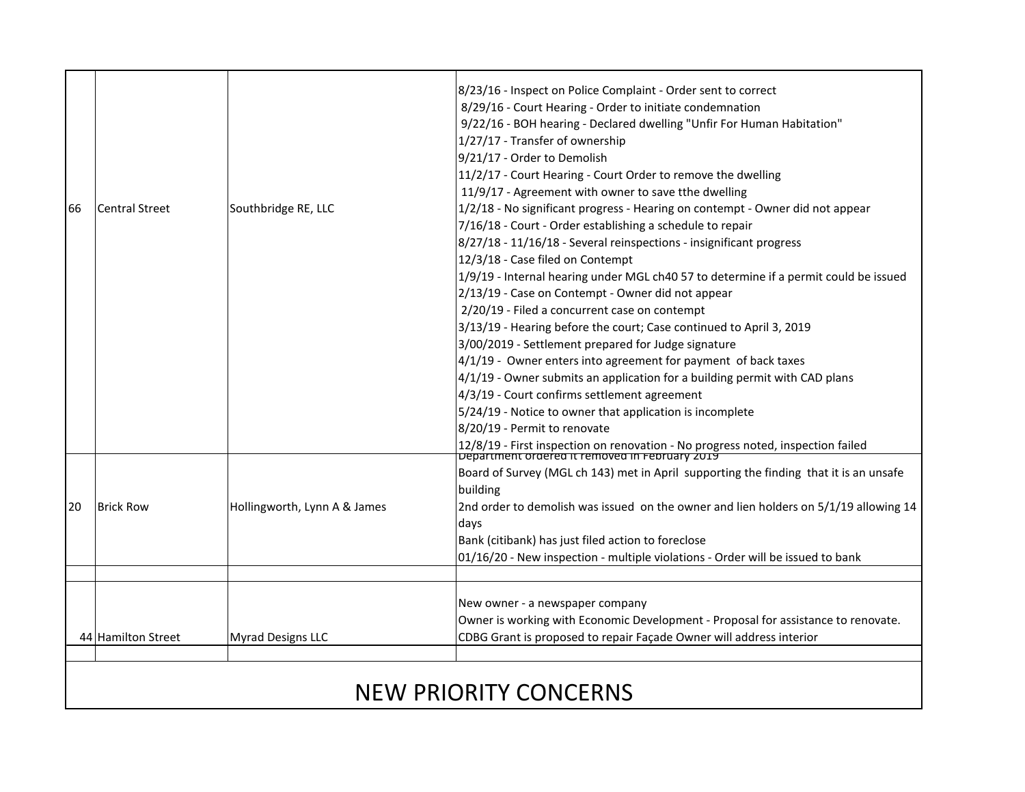## 66 Central Street Southbridge RE, LLC 8/23/16 - Inspect on Police Complaint - Order sent to correct 8/29/16 - Court Hearing - Order to initiate condemnation 9/22/16 - BOH hearing - Declared dwelling "Unfir For Human Habitation" 1/27/17 - Transfer of ownership 9/21/17 - Order to Demolish 11/2/17 - Court Hearing - Court Order to remove the dwelling 11/9/17 - Agreement with owner to save tthe dwelling 1/2/18 - No significant progress - Hearing on contempt - Owner did not appear 7/16/18 - Court - Order establishing a schedule to repair 8/27/18 - 11/16/18 - Several reinspections - insignificant progress 12/3/18 - Case filed on Contempt 1/9/19 - Internal hearing under MGL ch40 57 to determine if a permit could be issued 2/13/19 - Case on Contempt - Owner did not appear 2/20/19 - Filed a concurrent case on contempt 3/13/19 - Hearing before the court; Case continued to April 3, 2019 3/00/2019 - Settlement prepared for Judge signature 4/1/19 - Owner enters into agreement for payment of back taxes 4/1/19 - Owner submits an application for a building permit with CAD plans 4/3/19 - Court confirms settlement agreement 5/24/19 - Notice to owner that application is incomplete 8/20/19 - Permit to renovate 12/8/19 - First inspection on renovation - No progress noted, inspection failed Department ordered it removed in February 2019 20 | Brick Row | Hollingworth, Lynn A & James Board of Survey (MGL ch 143) met in April supporting the finding that it is an unsafe building 2nd order to demolish was issued on the owner and lien holders on 5/1/19 allowing 14 days Bank (citibank) has just filed action to foreclose 01/16/20 - New inspection - multiple violations - Order will be issued to bank 44 Hamilton Street Myrad Designs LLC New owner - a newspaper company Owner is working with Economic Development - Proposal for assistance to renovate. CDBG Grant is proposed to repair Façade Owner will address interior NEW PRIORITY CONCERNS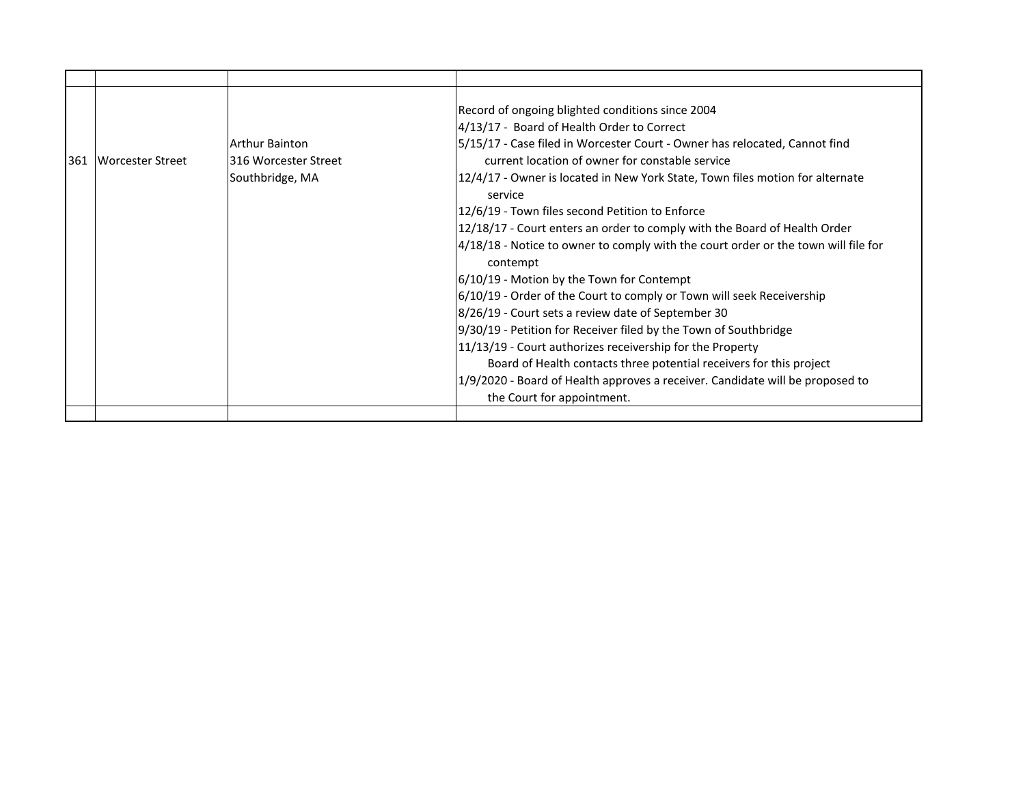| 361 Worcester Street | <b>Arthur Bainton</b><br>316 Worcester Street<br>Southbridge, MA | Record of ongoing blighted conditions since 2004<br>4/13/17 - Board of Health Order to Correct<br>5/15/17 - Case filed in Worcester Court - Owner has relocated, Cannot find<br>current location of owner for constable service<br>12/4/17 - Owner is located in New York State, Town files motion for alternate<br>service<br>12/6/19 - Town files second Petition to Enforce<br>12/18/17 - Court enters an order to comply with the Board of Health Order<br>4/18/18 - Notice to owner to comply with the court order or the town will file for<br>contempt<br>6/10/19 - Motion by the Town for Contempt<br>6/10/19 - Order of the Court to comply or Town will seek Receivership<br>8/26/19 - Court sets a review date of September 30<br>9/30/19 - Petition for Receiver filed by the Town of Southbridge<br>11/13/19 - Court authorizes receivership for the Property<br>Board of Health contacts three potential receivers for this project<br>1/9/2020 - Board of Health approves a receiver. Candidate will be proposed to<br>the Court for appointment. |
|----------------------|------------------------------------------------------------------|------------------------------------------------------------------------------------------------------------------------------------------------------------------------------------------------------------------------------------------------------------------------------------------------------------------------------------------------------------------------------------------------------------------------------------------------------------------------------------------------------------------------------------------------------------------------------------------------------------------------------------------------------------------------------------------------------------------------------------------------------------------------------------------------------------------------------------------------------------------------------------------------------------------------------------------------------------------------------------------------------------------------------------------------------------------|
|                      |                                                                  |                                                                                                                                                                                                                                                                                                                                                                                                                                                                                                                                                                                                                                                                                                                                                                                                                                                                                                                                                                                                                                                                  |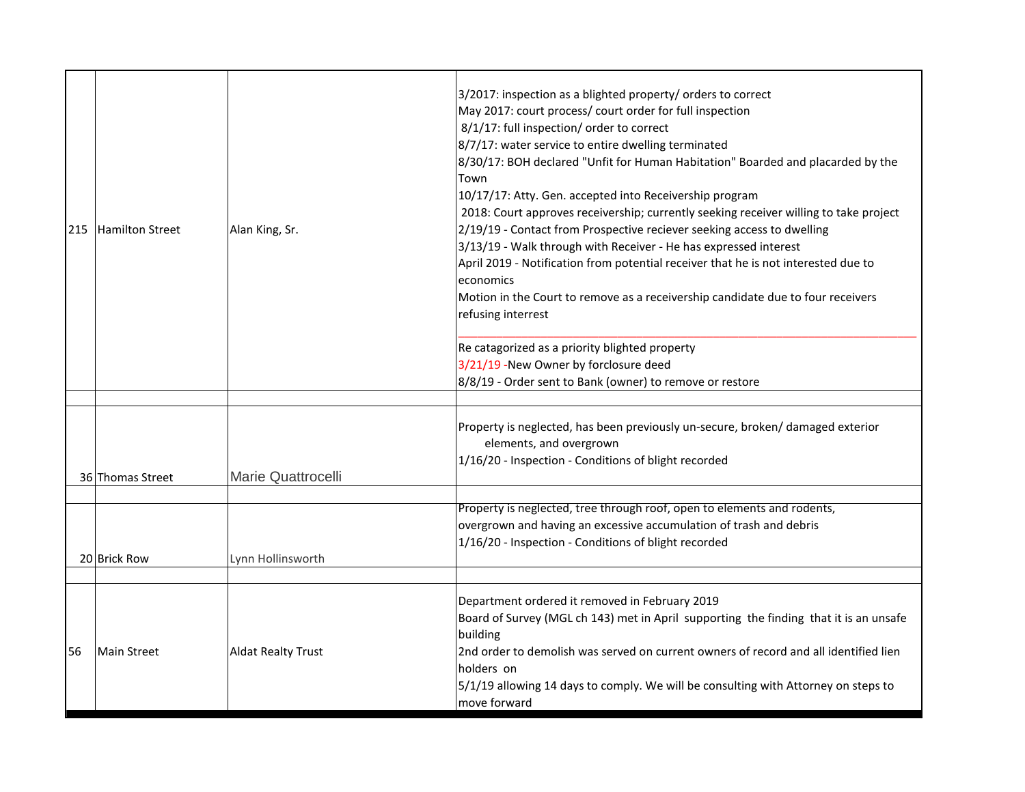|     |                  |                           | 3/2017: inspection as a blighted property/ orders to correct                                                                                  |
|-----|------------------|---------------------------|-----------------------------------------------------------------------------------------------------------------------------------------------|
|     |                  |                           | May 2017: court process/ court order for full inspection                                                                                      |
|     |                  |                           | 8/1/17: full inspection/ order to correct                                                                                                     |
|     |                  |                           | 8/7/17: water service to entire dwelling terminated                                                                                           |
|     |                  |                           | 8/30/17: BOH declared "Unfit for Human Habitation" Boarded and placarded by the                                                               |
|     |                  |                           | Town                                                                                                                                          |
|     |                  |                           | 10/17/17: Atty. Gen. accepted into Receivership program                                                                                       |
|     |                  |                           | 2018: Court approves receivership; currently seeking receiver willing to take project                                                         |
| 215 | Hamilton Street  | Alan King, Sr.            | 2/19/19 - Contact from Prospective reciever seeking access to dwelling                                                                        |
|     |                  |                           | 3/13/19 - Walk through with Receiver - He has expressed interest                                                                              |
|     |                  |                           | April 2019 - Notification from potential receiver that he is not interested due to                                                            |
|     |                  |                           | economics                                                                                                                                     |
|     |                  |                           | Motion in the Court to remove as a receivership candidate due to four receivers                                                               |
|     |                  |                           | refusing interrest                                                                                                                            |
|     |                  |                           | Re catagorized as a priority blighted property                                                                                                |
|     |                  |                           | 3/21/19 -New Owner by forclosure deed                                                                                                         |
|     |                  |                           | 8/8/19 - Order sent to Bank (owner) to remove or restore                                                                                      |
|     |                  |                           |                                                                                                                                               |
|     |                  |                           | Property is neglected, has been previously un-secure, broken/damaged exterior                                                                 |
|     |                  |                           | elements, and overgrown                                                                                                                       |
|     |                  |                           | 1/16/20 - Inspection - Conditions of blight recorded                                                                                          |
|     | 36 Thomas Street | <b>Marie Quattrocelli</b> |                                                                                                                                               |
|     |                  |                           |                                                                                                                                               |
|     |                  |                           | Property is neglected, tree through roof, open to elements and rodents,<br>overgrown and having an excessive accumulation of trash and debris |
|     |                  |                           | 1/16/20 - Inspection - Conditions of blight recorded                                                                                          |
|     | 20 Brick Row     | Lynn Hollinsworth         |                                                                                                                                               |
|     |                  |                           |                                                                                                                                               |
|     |                  |                           | Department ordered it removed in February 2019                                                                                                |
|     |                  |                           | Board of Survey (MGL ch 143) met in April supporting the finding that it is an unsafe                                                         |
|     |                  |                           | building                                                                                                                                      |
| 56  | Main Street      | <b>Aldat Realty Trust</b> | 2nd order to demolish was served on current owners of record and all identified lien                                                          |
|     |                  |                           | holders on                                                                                                                                    |
|     |                  |                           | 5/1/19 allowing 14 days to comply. We will be consulting with Attorney on steps to                                                            |
|     |                  |                           | move forward                                                                                                                                  |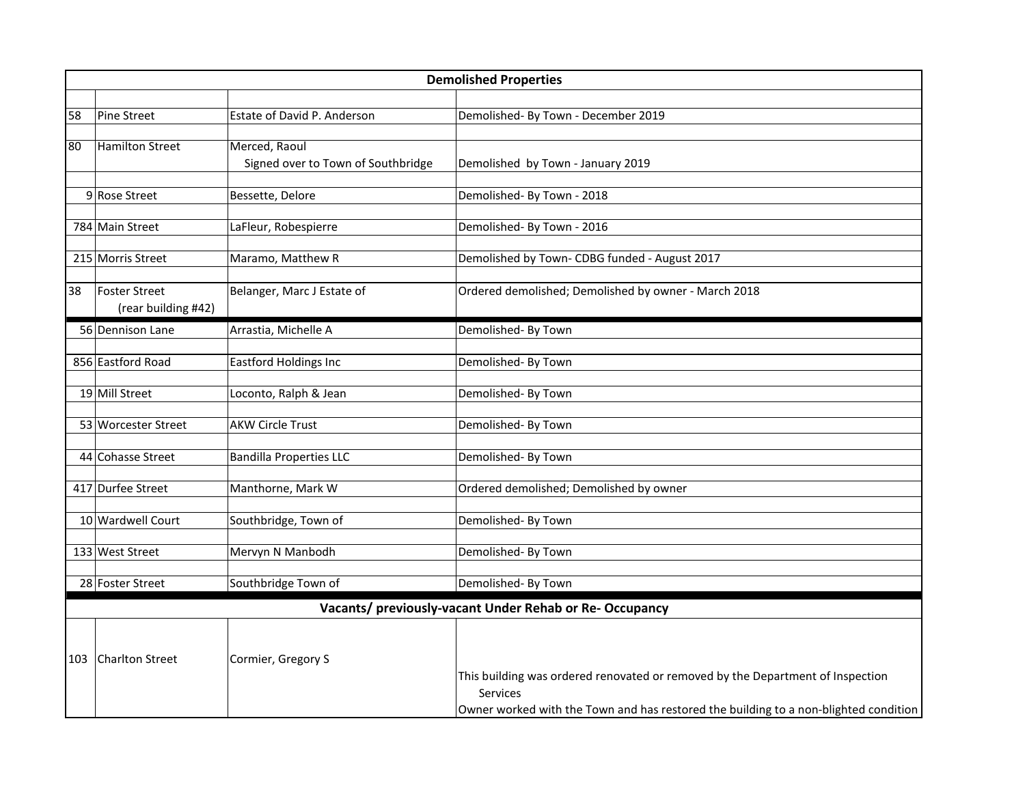|                 | <b>Demolished Properties</b>                |                                                     |                                                                                                                                                                                           |
|-----------------|---------------------------------------------|-----------------------------------------------------|-------------------------------------------------------------------------------------------------------------------------------------------------------------------------------------------|
|                 |                                             |                                                     |                                                                                                                                                                                           |
| 58              | Pine Street                                 | Estate of David P. Anderson                         | Demolished- By Town - December 2019                                                                                                                                                       |
| $\overline{80}$ | Hamilton Street                             | Merced, Raoul<br>Signed over to Town of Southbridge | Demolished by Town - January 2019                                                                                                                                                         |
|                 | 9 Rose Street                               | Bessette, Delore                                    | Demolished- By Town - 2018                                                                                                                                                                |
|                 | 784 Main Street                             | LaFleur, Robespierre                                | Demolished- By Town - 2016                                                                                                                                                                |
|                 | 215 Morris Street                           | Maramo, Matthew R                                   | Demolished by Town- CDBG funded - August 2017                                                                                                                                             |
| 38              | <b>Foster Street</b><br>(rear building #42) | Belanger, Marc J Estate of                          | Ordered demolished; Demolished by owner - March 2018                                                                                                                                      |
|                 | 56 Dennison Lane                            | Arrastia, Michelle A                                | Demolished- By Town                                                                                                                                                                       |
|                 | 856 Eastford Road                           | <b>Eastford Holdings Inc</b>                        | Demolished- By Town                                                                                                                                                                       |
|                 | 19 Mill Street                              | Loconto, Ralph & Jean                               | Demolished- By Town                                                                                                                                                                       |
|                 | 53 Worcester Street                         | <b>AKW Circle Trust</b>                             | Demolished- By Town                                                                                                                                                                       |
|                 | 44 Cohasse Street                           | <b>Bandilla Properties LLC</b>                      | Demolished- By Town                                                                                                                                                                       |
|                 | 417 Durfee Street                           | Manthorne, Mark W                                   | Ordered demolished; Demolished by owner                                                                                                                                                   |
|                 | 10 Wardwell Court                           | Southbridge, Town of                                | Demolished- By Town                                                                                                                                                                       |
|                 | 133 West Street                             | Mervyn N Manbodh                                    | Demolished- By Town                                                                                                                                                                       |
|                 | 28 Foster Street                            | Southbridge Town of                                 | Demolished- By Town                                                                                                                                                                       |
|                 |                                             |                                                     | Vacants/ previously-vacant Under Rehab or Re- Occupancy                                                                                                                                   |
| 103             | Charlton Street                             | Cormier, Gregory S                                  | This building was ordered renovated or removed by the Department of Inspection<br><b>Services</b><br>Owner worked with the Town and has restored the building to a non-blighted condition |